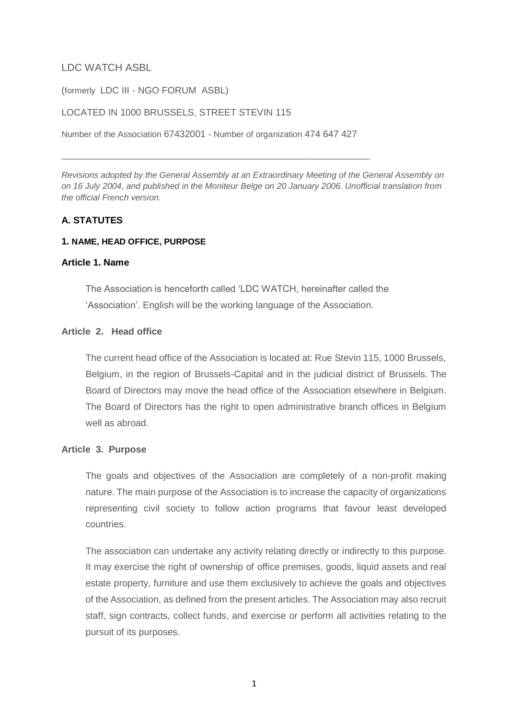# LDC WATCH ASBL

(formerly LDC III - NGO FORUM ASBL)

### LOCATED IN 1000 BRUSSELS, STREET STEVIN 115

Number of the Association 67432001 - Number of organization 474 647 427

\_\_\_\_\_\_\_\_\_\_\_\_\_\_\_\_\_\_\_\_\_\_\_\_\_\_\_\_\_\_\_\_\_\_\_\_\_\_\_\_\_\_\_\_\_\_\_\_\_\_\_\_\_\_\_\_\_\_\_\_\_\_\_\_\_

*Revisions adopted by the General Assembly at an Extraordinary Meeting of the General Assembly on on 16 July 2004, and published in the Moniteur Belge on 20 January 2006. Unofficial translation from the official French version.*

# **A. STATUTES**

### **1. NAME, HEAD OFFICE, PURPOSE**

### **Article 1. Name**

The Association is henceforth called 'LDC WATCH, hereinafter called the 'Association'. English will be the working language of the Association.

## **Article 2. Head office**

The current head office of the Association is located at: Rue Stevin 115, 1000 Brussels, Belgium, in the region of Brussels-Capital and in the judicial district of Brussels. The Board of Directors may move the head office of the Association elsewhere in Belgium. The Board of Directors has the right to open administrative branch offices in Belgium well as abroad.

## **Article 3. Purpose**

The goals and objectives of the Association are completely of a non-profit making nature. The main purpose of the Association is to increase the capacity of organizations representing civil society to follow action programs that favour least developed countries.

The association can undertake any activity relating directly or indirectly to this purpose. It may exercise the right of ownership of office premises, goods, liquid assets and real estate property, furniture and use them exclusively to achieve the goals and objectives of the Association, as defined from the present articles. The Association may also recruit staff, sign contracts, collect funds, and exercise or perform all activities relating to the pursuit of its purposes.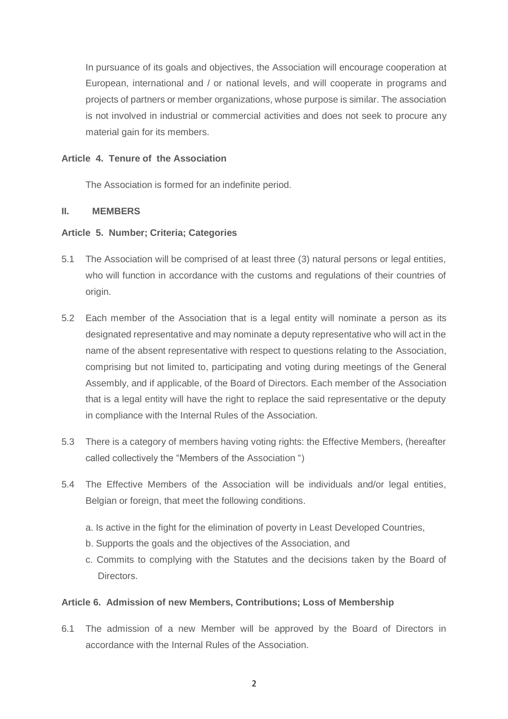In pursuance of its goals and objectives, the Association will encourage cooperation at European, international and / or national levels, and will cooperate in programs and projects of partners or member organizations, whose purpose is similar. The association is not involved in industrial or commercial activities and does not seek to procure any material gain for its members.

## **Article 4. Tenure of the Association**

The Association is formed for an indefinite period.

## **II. MEMBERS**

# **Article 5. Number; Criteria; Categories**

- 5.1 The Association will be comprised of at least three (3) natural persons or legal entities, who will function in accordance with the customs and regulations of their countries of origin.
- 5.2 Each member of the Association that is a legal entity will nominate a person as its designated representative and may nominate a deputy representative who will act in the name of the absent representative with respect to questions relating to the Association, comprising but not limited to, participating and voting during meetings of the General Assembly, and if applicable, of the Board of Directors. Each member of the Association that is a legal entity will have the right to replace the said representative or the deputy in compliance with the Internal Rules of the Association.
- 5.3 There is a category of members having voting rights: the Effective Members, (hereafter called collectively the "Members of the Association ")
- 5.4 The Effective Members of the Association will be individuals and/or legal entities, Belgian or foreign, that meet the following conditions.
	- a. Is active in the fight for the elimination of poverty in Least Developed Countries,
	- b. Supports the goals and the objectives of the Association, and
	- c. Commits to complying with the Statutes and the decisions taken by the Board of Directors.

# **Article 6. Admission of new Members, Contributions; Loss of Membership**

6.1 The admission of a new Member will be approved by the Board of Directors in accordance with the Internal Rules of the Association.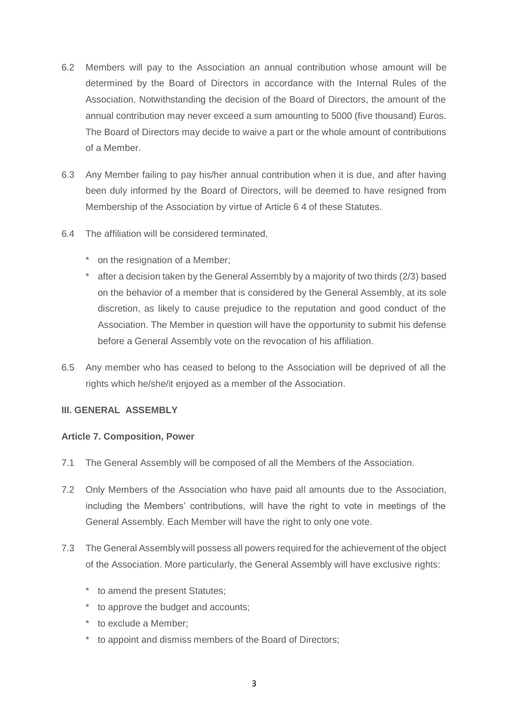- 6.2 Members will pay to the Association an annual contribution whose amount will be determined by the Board of Directors in accordance with the Internal Rules of the Association. Notwithstanding the decision of the Board of Directors, the amount of the annual contribution may never exceed a sum amounting to 5000 (five thousand) Euros. The Board of Directors may decide to waive a part or the whole amount of contributions of a Member.
- 6.3 Any Member failing to pay his/her annual contribution when it is due, and after having been duly informed by the Board of Directors, will be deemed to have resigned from Membership of the Association by virtue of Article 6 4 of these Statutes.
- 6.4 The affiliation will be considered terminated,
	- \* on the resignation of a Member;
	- after a decision taken by the General Assembly by a majority of two thirds (2/3) based on the behavior of a member that is considered by the General Assembly, at its sole discretion, as likely to cause prejudice to the reputation and good conduct of the Association. The Member in question will have the opportunity to submit his defense before a General Assembly vote on the revocation of his affiliation.
- 6.5 Any member who has ceased to belong to the Association will be deprived of all the rights which he/she/it enjoyed as a member of the Association.

## **III. GENERAL ASSEMBLY**

## **Article 7. Composition, Power**

- 7.1 The General Assembly will be composed of all the Members of the Association.
- 7.2 Only Members of the Association who have paid all amounts due to the Association, including the Members' contributions, will have the right to vote in meetings of the General Assembly. Each Member will have the right to only one vote.
- 7.3 The General Assembly will possess all powers required for the achievement of the object of the Association. More particularly, the General Assembly will have exclusive rights:
	- \* to amend the present Statutes;
	- \* to approve the budget and accounts;
	- \* to exclude a Member;
	- to appoint and dismiss members of the Board of Directors;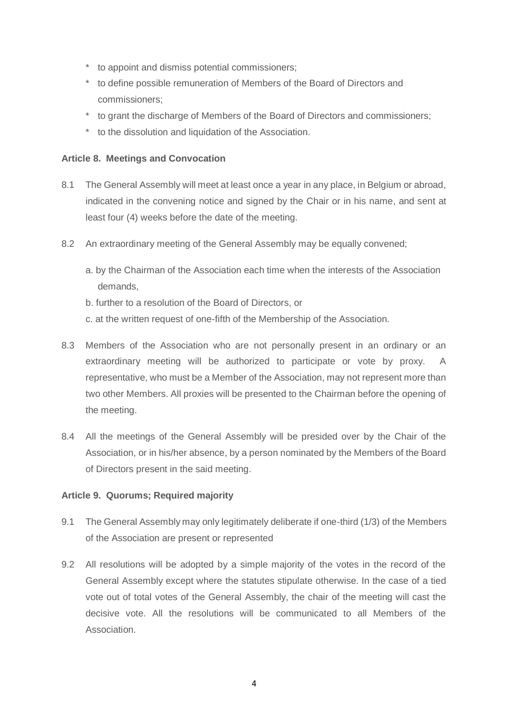- \* to appoint and dismiss potential commissioners;
- \* to define possible remuneration of Members of the Board of Directors and commissioners;
- \* to grant the discharge of Members of the Board of Directors and commissioners;
- \* to the dissolution and liquidation of the Association.

# **Article 8. Meetings and Convocation**

- 8.1 The General Assembly will meet at least once a year in any place, in Belgium or abroad, indicated in the convening notice and signed by the Chair or in his name, and sent at least four (4) weeks before the date of the meeting.
- 8.2 An extraordinary meeting of the General Assembly may be equally convened;
	- a. by the Chairman of the Association each time when the interests of the Association demands,
	- b. further to a resolution of the Board of Directors, or
	- c. at the written request of one-fifth of the Membership of the Association.
- 8.3 Members of the Association who are not personally present in an ordinary or an extraordinary meeting will be authorized to participate or vote by proxy. A representative, who must be a Member of the Association, may not represent more than two other Members. All proxies will be presented to the Chairman before the opening of the meeting.
- 8.4 All the meetings of the General Assembly will be presided over by the Chair of the Association, or in his/her absence, by a person nominated by the Members of the Board of Directors present in the said meeting.

## **Article 9. Quorums; Required majority**

- 9.1 The General Assembly may only legitimately deliberate if one-third (1/3) of the Members of the Association are present or represented
- 9.2 All resolutions will be adopted by a simple majority of the votes in the record of the General Assembly except where the statutes stipulate otherwise. In the case of a tied vote out of total votes of the General Assembly, the chair of the meeting will cast the decisive vote. All the resolutions will be communicated to all Members of the Association.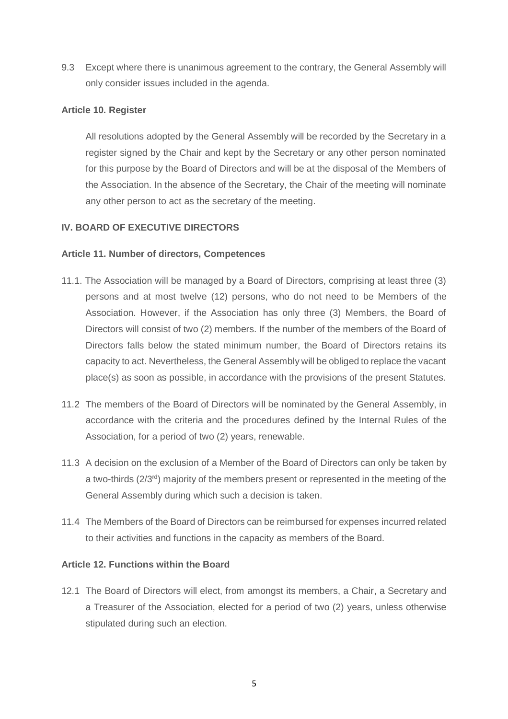9.3 Except where there is unanimous agreement to the contrary, the General Assembly will only consider issues included in the agenda.

# **Article 10. Register**

All resolutions adopted by the General Assembly will be recorded by the Secretary in a register signed by the Chair and kept by the Secretary or any other person nominated for this purpose by the Board of Directors and will be at the disposal of the Members of the Association. In the absence of the Secretary, the Chair of the meeting will nominate any other person to act as the secretary of the meeting.

# **IV. BOARD OF EXECUTIVE DIRECTORS**

# **Article 11. Number of directors, Competences**

- 11.1. The Association will be managed by a Board of Directors, comprising at least three (3) persons and at most twelve (12) persons, who do not need to be Members of the Association. However, if the Association has only three (3) Members, the Board of Directors will consist of two (2) members. If the number of the members of the Board of Directors falls below the stated minimum number, the Board of Directors retains its capacity to act. Nevertheless, the General Assembly will be obliged to replace the vacant place(s) as soon as possible, in accordance with the provisions of the present Statutes.
- 11.2 The members of the Board of Directors will be nominated by the General Assembly, in accordance with the criteria and the procedures defined by the Internal Rules of the Association, for a period of two (2) years, renewable.
- 11.3 A decision on the exclusion of a Member of the Board of Directors can only be taken by a two-thirds (2/3rd) majority of the members present or represented in the meeting of the General Assembly during which such a decision is taken.
- 11.4 The Members of the Board of Directors can be reimbursed for expenses incurred related to their activities and functions in the capacity as members of the Board.

# **Article 12. Functions within the Board**

12.1 The Board of Directors will elect, from amongst its members, a Chair, a Secretary and a Treasurer of the Association, elected for a period of two (2) years, unless otherwise stipulated during such an election.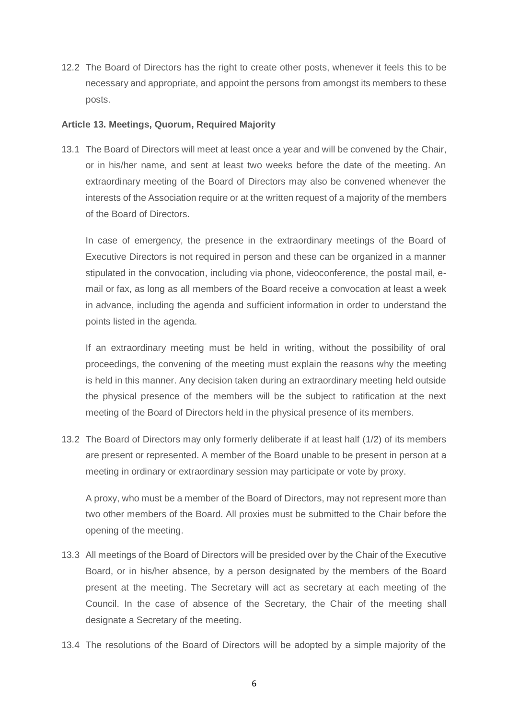12.2 The Board of Directors has the right to create other posts, whenever it feels this to be necessary and appropriate, and appoint the persons from amongst its members to these posts.

# **Article 13. Meetings, Quorum, Required Majority**

13.1 The Board of Directors will meet at least once a year and will be convened by the Chair, or in his/her name, and sent at least two weeks before the date of the meeting. An extraordinary meeting of the Board of Directors may also be convened whenever the interests of the Association require or at the written request of a majority of the members of the Board of Directors.

In case of emergency, the presence in the extraordinary meetings of the Board of Executive Directors is not required in person and these can be organized in a manner stipulated in the convocation, including via phone, videoconference, the postal mail, email or fax, as long as all members of the Board receive a convocation at least a week in advance, including the agenda and sufficient information in order to understand the points listed in the agenda.

If an extraordinary meeting must be held in writing, without the possibility of oral proceedings, the convening of the meeting must explain the reasons why the meeting is held in this manner. Any decision taken during an extraordinary meeting held outside the physical presence of the members will be the subject to ratification at the next meeting of the Board of Directors held in the physical presence of its members.

13.2 The Board of Directors may only formerly deliberate if at least half (1/2) of its members are present or represented. A member of the Board unable to be present in person at a meeting in ordinary or extraordinary session may participate or vote by proxy.

A proxy, who must be a member of the Board of Directors, may not represent more than two other members of the Board. All proxies must be submitted to the Chair before the opening of the meeting.

- 13.3 All meetings of the Board of Directors will be presided over by the Chair of the Executive Board, or in his/her absence, by a person designated by the members of the Board present at the meeting. The Secretary will act as secretary at each meeting of the Council. In the case of absence of the Secretary, the Chair of the meeting shall designate a Secretary of the meeting.
- 13.4 The resolutions of the Board of Directors will be adopted by a simple majority of the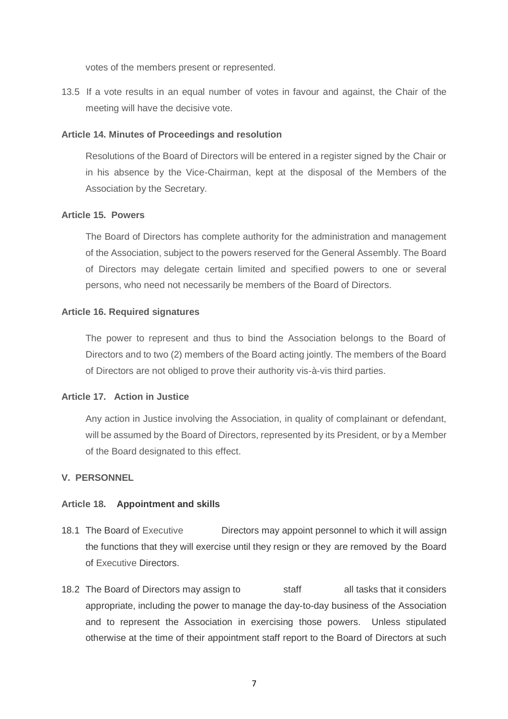votes of the members present or represented.

13.5 If a vote results in an equal number of votes in favour and against, the Chair of the meeting will have the decisive vote.

### **Article 14. Minutes of Proceedings and resolution**

Resolutions of the Board of Directors will be entered in a register signed by the Chair or in his absence by the Vice-Chairman, kept at the disposal of the Members of the Association by the Secretary.

### **Article 15. Powers**

The Board of Directors has complete authority for the administration and management of the Association, subject to the powers reserved for the General Assembly. The Board of Directors may delegate certain limited and specified powers to one or several persons, who need not necessarily be members of the Board of Directors.

### **Article 16. Required signatures**

The power to represent and thus to bind the Association belongs to the Board of Directors and to two (2) members of the Board acting jointly. The members of the Board of Directors are not obliged to prove their authority vis-à-vis third parties.

## **Article 17. Action in Justice**

Any action in Justice involving the Association, in quality of complainant or defendant, will be assumed by the Board of Directors, represented by its President, or by a Member of the Board designated to this effect.

## **V. PERSONNEL**

## **Article 18. Appointment and skills**

- 18.1 The Board of Executive Directors may appoint personnel to which it will assign the functions that they will exercise until they resign or they are removed by the Board of Executive Directors.
- 18.2 The Board of Directors may assign to staff all tasks that it considers appropriate, including the power to manage the day-to-day business of the Association and to represent the Association in exercising those powers. Unless stipulated otherwise at the time of their appointment staff report to the Board of Directors at such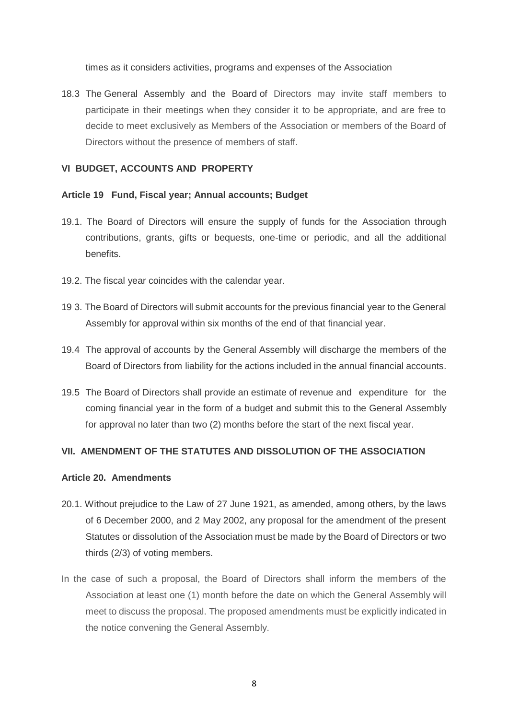times as it considers activities, programs and expenses of the Association

18.3 The General Assembly and the Board of Directors may invite staff members to participate in their meetings when they consider it to be appropriate, and are free to decide to meet exclusively as Members of the Association or members of the Board of Directors without the presence of members of staff.

### **VI BUDGET, ACCOUNTS AND PROPERTY**

### **Article 19 Fund, Fiscal year; Annual accounts; Budget**

- 19.1. The Board of Directors will ensure the supply of funds for the Association through contributions, grants, gifts or bequests, one-time or periodic, and all the additional benefits.
- 19.2. The fiscal year coincides with the calendar year.
- 19 3. The Board of Directors will submit accounts for the previous financial year to the General Assembly for approval within six months of the end of that financial year.
- 19.4 The approval of accounts by the General Assembly will discharge the members of the Board of Directors from liability for the actions included in the annual financial accounts.
- 19.5 The Board of Directors shall provide an estimate of revenue and expenditure for the coming financial year in the form of a budget and submit this to the General Assembly for approval no later than two (2) months before the start of the next fiscal year.

## **VII. AMENDMENT OF THE STATUTES AND DISSOLUTION OF THE ASSOCIATION**

#### **Article 20. Amendments**

- 20.1. Without prejudice to the Law of 27 June 1921, as amended, among others, by the laws of 6 December 2000, and 2 May 2002, any proposal for the amendment of the present Statutes or dissolution of the Association must be made by the Board of Directors or two thirds (2/3) of voting members.
- In the case of such a proposal, the Board of Directors shall inform the members of the Association at least one (1) month before the date on which the General Assembly will meet to discuss the proposal. The proposed amendments must be explicitly indicated in the notice convening the General Assembly.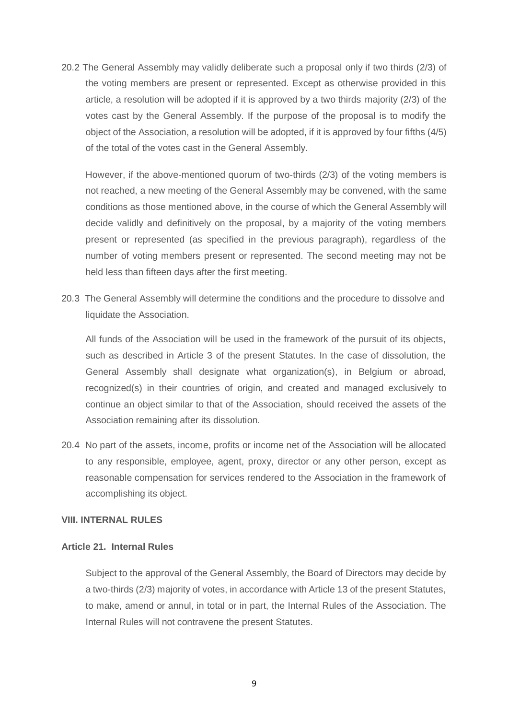20.2 The General Assembly may validly deliberate such a proposal only if two thirds (2/3) of the voting members are present or represented. Except as otherwise provided in this article, a resolution will be adopted if it is approved by a two thirds majority (2/3) of the votes cast by the General Assembly. If the purpose of the proposal is to modify the object of the Association, a resolution will be adopted, if it is approved by four fifths (4/5) of the total of the votes cast in the General Assembly.

However, if the above-mentioned quorum of two-thirds (2/3) of the voting members is not reached, a new meeting of the General Assembly may be convened, with the same conditions as those mentioned above, in the course of which the General Assembly will decide validly and definitively on the proposal, by a majority of the voting members present or represented (as specified in the previous paragraph), regardless of the number of voting members present or represented. The second meeting may not be held less than fifteen days after the first meeting.

20.3 The General Assembly will determine the conditions and the procedure to dissolve and liquidate the Association.

All funds of the Association will be used in the framework of the pursuit of its objects, such as described in Article 3 of the present Statutes. In the case of dissolution, the General Assembly shall designate what organization(s), in Belgium or abroad, recognized(s) in their countries of origin, and created and managed exclusively to continue an object similar to that of the Association, should received the assets of the Association remaining after its dissolution.

20.4 No part of the assets, income, profits or income net of the Association will be allocated to any responsible, employee, agent, proxy, director or any other person, except as reasonable compensation for services rendered to the Association in the framework of accomplishing its object.

# **VIII. INTERNAL RULES**

### **Article 21. Internal Rules**

Subject to the approval of the General Assembly, the Board of Directors may decide by a two-thirds (2/3) majority of votes, in accordance with Article 13 of the present Statutes, to make, amend or annul, in total or in part, the Internal Rules of the Association. The Internal Rules will not contravene the present Statutes.